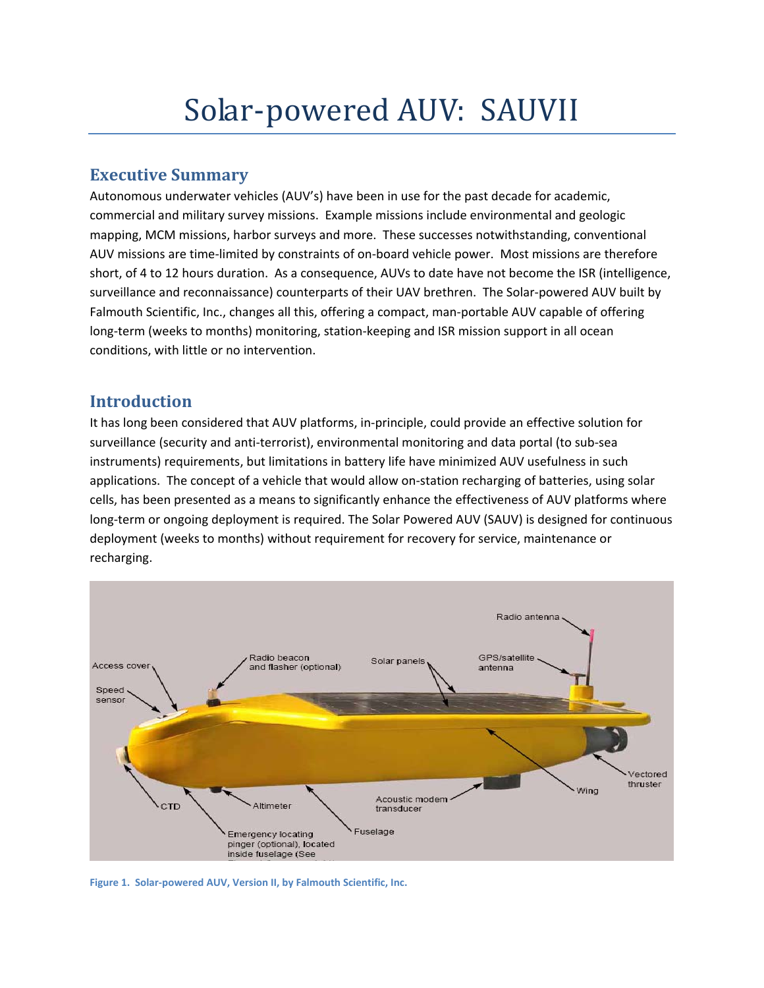## **Executive Summary**

Autonomous underwater vehicles (AUV's) have been in use for the past decade for academic, commercial and military survey missions. Example missions include environmental and geologic mapping, MCM missions, harbor surveys and more. These successes notwithstanding, conventional AUV missions are time‐limited by constraints of on‐board vehicle power. Most missions are therefore short, of 4 to 12 hours duration. As a consequence, AUVs to date have not become the ISR (intelligence, surveillance and reconnaissance) counterparts of their UAV brethren. The Solar-powered AUV built by Falmouth Scientific, Inc., changes all this, offering a compact, man‐portable AUV capable of offering long‐term (weeks to months) monitoring, station‐keeping and ISR mission support in all ocean conditions, with little or no intervention.

## **Introduction**

It has long been considered that AUV platforms, in‐principle, could provide an effective solution for surveillance (security and anti‐terrorist), environmental monitoring and data portal (to sub‐sea instruments) requirements, but limitations in battery life have minimized AUV usefulness in such applications. The concept of a vehicle that would allow on‐station recharging of batteries, using solar cells, has been presented as a means to significantly enhance the effectiveness of AUV platforms where long-term or ongoing deployment is required. The Solar Powered AUV (SAUV) is designed for continuous deployment (weeks to months) without requirement for recovery for service, maintenance or recharging.



**Figure 1. Solar‐powered AUV, Version II, by Falmouth Scientific, Inc.**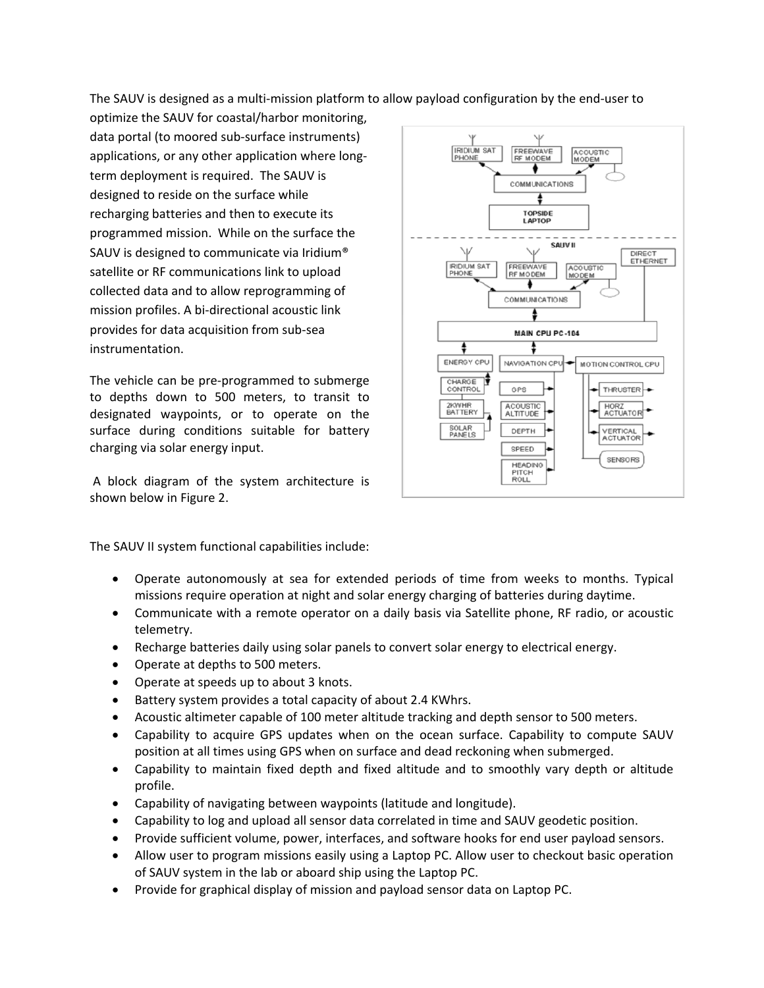The SAUV is designed as a multi-mission platform to allow payload configuration by the end-user to

optimize the SAUV for coastal/harbor monitoring, data portal (to moored sub‐surface instruments) applications, or any other application where long‐ term deployment is required. The SAUV is designed to reside on the surface while recharging batteries and then to execute its programmed mission. While on the surface the SAUV is designed to communicate via Iridium® satellite or RF communications link to upload collected data and to allow reprogramming of mission profiles. A bi‐directional acoustic link provides for data acquisition from sub‐sea instrumentation.

The vehicle can be pre‐programmed to submerge to depths down to 500 meters, to transit to designated waypoints, or to operate on the surface during conditions suitable for battery charging via solar energy input.

A block diagram of the system architecture is shown below in Figure 2.



The SAUV II system functional capabilities include:

- Operate autonomously at sea for extended periods of time from weeks to months. Typical missions require operation at night and solar energy charging of batteries during daytime.
- Communicate with a remote operator on a daily basis via Satellite phone, RF radio, or acoustic telemetry.
- Recharge batteries daily using solar panels to convert solar energy to electrical energy.
- Operate at depths to 500 meters.
- Operate at speeds up to about 3 knots.
- Battery system provides a total capacity of about 2.4 KWhrs.
- Acoustic altimeter capable of 100 meter altitude tracking and depth sensor to 500 meters.
- Capability to acquire GPS updates when on the ocean surface. Capability to compute SAUV position at all times using GPS when on surface and dead reckoning when submerged.
- Capability to maintain fixed depth and fixed altitude and to smoothly vary depth or altitude profile.
- Capability of navigating between waypoints (latitude and longitude).
- Capability to log and upload all sensor data correlated in time and SAUV geodetic position.
- Provide sufficient volume, power, interfaces, and software hooks for end user payload sensors.
- Allow user to program missions easily using a Laptop PC. Allow user to checkout basic operation of SAUV system in the lab or aboard ship using the Laptop PC.
- Provide for graphical display of mission and payload sensor data on Laptop PC.